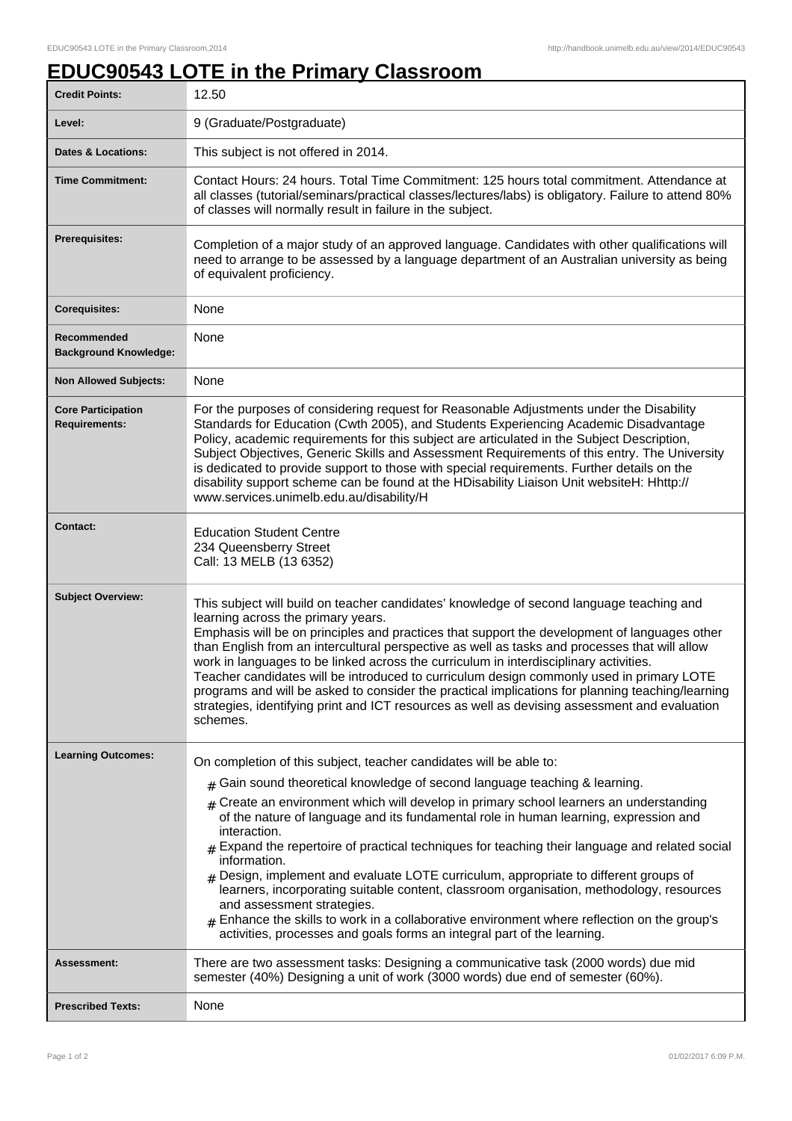## **EDUC90543 LOTE in the Primary Classroom**

| <b>Credit Points:</b>                             | 12.50                                                                                                                                                                                                                                                                                                                                                                                                                                                                                                                                                                                                                                                                                                                                                                                         |
|---------------------------------------------------|-----------------------------------------------------------------------------------------------------------------------------------------------------------------------------------------------------------------------------------------------------------------------------------------------------------------------------------------------------------------------------------------------------------------------------------------------------------------------------------------------------------------------------------------------------------------------------------------------------------------------------------------------------------------------------------------------------------------------------------------------------------------------------------------------|
| Level:                                            | 9 (Graduate/Postgraduate)                                                                                                                                                                                                                                                                                                                                                                                                                                                                                                                                                                                                                                                                                                                                                                     |
| <b>Dates &amp; Locations:</b>                     | This subject is not offered in 2014.                                                                                                                                                                                                                                                                                                                                                                                                                                                                                                                                                                                                                                                                                                                                                          |
| <b>Time Commitment:</b>                           | Contact Hours: 24 hours. Total Time Commitment: 125 hours total commitment. Attendance at<br>all classes (tutorial/seminars/practical classes/lectures/labs) is obligatory. Failure to attend 80%<br>of classes will normally result in failure in the subject.                                                                                                                                                                                                                                                                                                                                                                                                                                                                                                                               |
| <b>Prerequisites:</b>                             | Completion of a major study of an approved language. Candidates with other qualifications will<br>need to arrange to be assessed by a language department of an Australian university as being<br>of equivalent proficiency.                                                                                                                                                                                                                                                                                                                                                                                                                                                                                                                                                                  |
| <b>Corequisites:</b>                              | None                                                                                                                                                                                                                                                                                                                                                                                                                                                                                                                                                                                                                                                                                                                                                                                          |
| Recommended<br><b>Background Knowledge:</b>       | None                                                                                                                                                                                                                                                                                                                                                                                                                                                                                                                                                                                                                                                                                                                                                                                          |
| <b>Non Allowed Subjects:</b>                      | None                                                                                                                                                                                                                                                                                                                                                                                                                                                                                                                                                                                                                                                                                                                                                                                          |
| <b>Core Participation</b><br><b>Requirements:</b> | For the purposes of considering request for Reasonable Adjustments under the Disability<br>Standards for Education (Cwth 2005), and Students Experiencing Academic Disadvantage<br>Policy, academic requirements for this subject are articulated in the Subject Description,<br>Subject Objectives, Generic Skills and Assessment Requirements of this entry. The University<br>is dedicated to provide support to those with special requirements. Further details on the<br>disability support scheme can be found at the HDisability Liaison Unit websiteH: Hhttp://<br>www.services.unimelb.edu.au/disability/H                                                                                                                                                                          |
| <b>Contact:</b>                                   | <b>Education Student Centre</b><br>234 Queensberry Street<br>Call: 13 MELB (13 6352)                                                                                                                                                                                                                                                                                                                                                                                                                                                                                                                                                                                                                                                                                                          |
| <b>Subject Overview:</b>                          | This subject will build on teacher candidates' knowledge of second language teaching and<br>learning across the primary years.<br>Emphasis will be on principles and practices that support the development of languages other<br>than English from an intercultural perspective as well as tasks and processes that will allow<br>work in languages to be linked across the curriculum in interdisciplinary activities.<br>Teacher candidates will be introduced to curriculum design commonly used in primary LOTE<br>programs and will be asked to consider the practical implications for planning teaching/learning<br>strategies, identifying print and ICT resources as well as devising assessment and evaluation<br>schemes.                                                         |
| <b>Learning Outcomes:</b>                         | On completion of this subject, teacher candidates will be able to:                                                                                                                                                                                                                                                                                                                                                                                                                                                                                                                                                                                                                                                                                                                            |
|                                                   | Gain sound theoretical knowledge of second language teaching & learning.<br>#<br>Create an environment which will develop in primary school learners an understanding<br>of the nature of language and its fundamental role in human learning, expression and<br>interaction.<br>$*$ Expand the repertoire of practical techniques for teaching their language and related social<br>information.<br>$#$ Design, implement and evaluate LOTE curriculum, appropriate to different groups of<br>learners, incorporating suitable content, classroom organisation, methodology, resources<br>and assessment strategies.<br>Enhance the skills to work in a collaborative environment where reflection on the group's<br>activities, processes and goals forms an integral part of the learning. |
| Assessment:                                       | There are two assessment tasks: Designing a communicative task (2000 words) due mid<br>semester (40%) Designing a unit of work (3000 words) due end of semester (60%).                                                                                                                                                                                                                                                                                                                                                                                                                                                                                                                                                                                                                        |
| <b>Prescribed Texts:</b>                          | None                                                                                                                                                                                                                                                                                                                                                                                                                                                                                                                                                                                                                                                                                                                                                                                          |